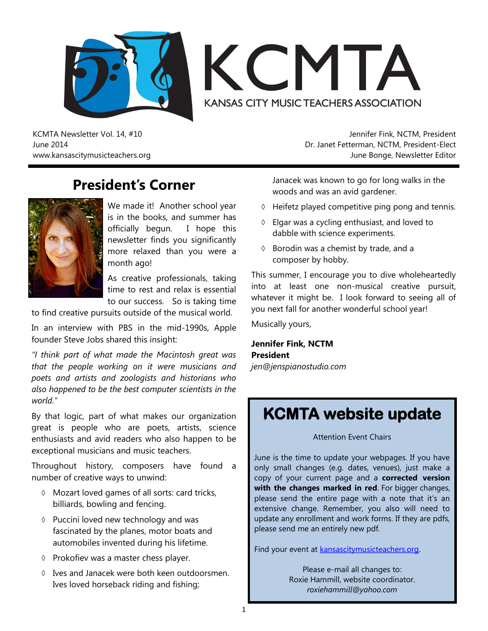



KCMTA Newsletter Vol. 14, #10 June 2014 www.kansascitymusicteachers.org

## **President's Corner**



We made it! Another school year is in the books, and summer has officially begun. I hope this newsletter finds you significantly more relaxed than you were a month ago!

As creative professionals, taking time to rest and relax is essential to our success. So is taking time

to find creative pursuits outside of the musical world.

In an interview with PBS in the mid-1990s, Apple founder Steve Jobs shared this insight:

*"I think part of what made the Macintosh great was that the people working on it were musicians and poets and artists and zoologists and historians who also happened to be the best computer scientists in the world."* 

By that logic, part of what makes our organization great is people who are poets, artists, science enthusiasts and avid readers who also happen to be exceptional musicians and music teachers.

Throughout history, composers have found a number of creative ways to unwind:

- Mozart loved games of all sorts: card tricks, billiards, bowling and fencing.
- $\Diamond$  Puccini loved new technology and was fascinated by the planes, motor boats and automobiles invented during his lifetime.
- $\Diamond$  Prokofiev was a master chess player.
- $\Diamond$  Ives and Janacek were both keen outdoorsmen. Ives loved horseback riding and fishing;

Jennifer Fink, NCTM, President Dr. Janet Fetterman, NCTM, President-Elect June Bonge, Newsletter Editor

Janacek was known to go for long walks in the woods and was an avid gardener.

- $\Diamond$  Heifetz played competitive ping pong and tennis.
- $\Diamond$  Elgar was a cycling enthusiast, and loved to dabble with science experiments.
- $\Diamond$  Borodin was a chemist by trade, and a composer by hobby.

This summer, I encourage you to dive wholeheartedly into at least one non-musical creative pursuit, whatever it might be. I look forward to seeing all of you next fall for another wonderful school year!

Musically yours,

**Jennifer Fink, NCTM President**

*jen@jenspianostudio.com*

# **KCMTA website update**

Attention Event Chairs

June is the time to update your webpages. If you have only small changes (e.g. dates, venues), just make a copy of your current page and a **corrected version with the changes marked in red**. For bigger changes, please send the entire page with a note that it's an extensive change. Remember, you also will need to update any enrollment and work forms. If they are pdfs, please send me an entirely new pdf.

Find your event at **kansascitymusicteachers.org**.

Please e-mail all changes to: Roxie Hammill, website coordinator. *roxiehammill@yahoo.com*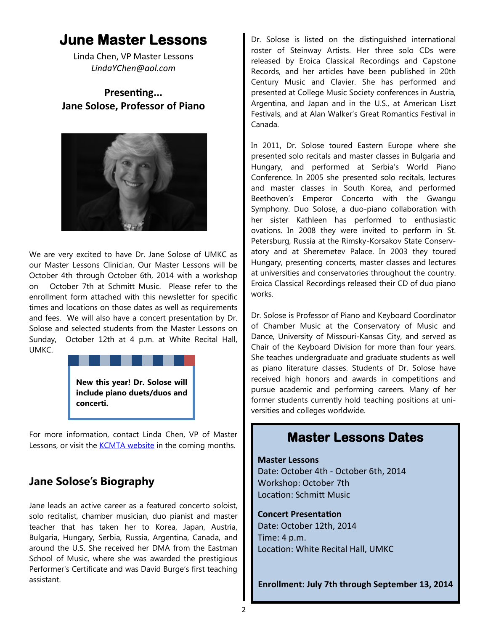# **June Master Lessons**

Linda Chen, VP Master Lessons *LindaYChen@aol.com* 

#### **Presenting... Jane Solose, Professor of Piano**



We are very excited to have Dr. Jane Solose of UMKC as our Master Lessons Clinician. Our Master Lessons will be October 4th through October 6th, 2014 with a workshop on October 7th at Schmitt Music. Please refer to the enrollment form attached with this newsletter for specific times and locations on those dates as well as requirements and fees. We will also have a concert presentation by Dr. Solose and selected students from the Master Lessons on Sunday, October 12th at 4 p.m. at White Recital Hall, UMKC.



For more information, contact Linda Chen, VP of Master Lessons, or visit the [KCMTA website](http://kansascitymusicteachers.org/student-programs/master-lessons/) in the coming months.

#### **Jane Solose's Biography**

Jane leads an active career as a featured concerto soloist, solo recitalist, chamber musician, duo pianist and master teacher that has taken her to Korea, Japan, Austria, Bulgaria, Hungary, Serbia, Russia, Argentina, Canada, and around the U.S. She received her DMA from the Eastman School of Music, where she was awarded the prestigious Performer's Certificate and was David Burge's first teaching assistant.

Dr. Solose is listed on the distinguished international roster of Steinway Artists. Her three solo CDs were released by Eroica Classical Recordings and Capstone Records, and her articles have been published in 20th Century Music and Clavier. She has performed and presented at College Music Society conferences in Austria, Argentina, and Japan and in the U.S., at American Liszt Festivals, and at Alan Walker's Great Romantics Festival in Canada.

In 2011, Dr. Solose toured Eastern Europe where she presented solo recitals and master classes in Bulgaria and Hungary, and performed at Serbia's World Piano Conference. In 2005 she presented solo recitals, lectures and master classes in South Korea, and performed Beethoven's Emperor Concerto with the Gwangu Symphony. Duo Solose, a duo-piano collaboration with her sister Kathleen has performed to enthusiastic ovations. In 2008 they were invited to perform in St. Petersburg, Russia at the Rimsky-Korsakov State Conservatory and at Sheremetev Palace. In 2003 they toured Hungary, presenting concerts, master classes and lectures at universities and conservatories throughout the country. Eroica Classical Recordings released their CD of duo piano works.

Dr. Solose is Professor of Piano and Keyboard Coordinator of Chamber Music at the Conservatory of Music and Dance, University of Missouri-Kansas City, and served as Chair of the Keyboard Division for more than four years. She teaches undergraduate and graduate students as well as piano literature classes. Students of Dr. Solose have received high honors and awards in competitions and pursue academic and performing careers. Many of her former students currently hold teaching positions at universities and colleges worldwide.

#### **Master Lessons Dates**

#### **Master Lessons**

Date: October 4th - October 6th, 2014 Workshop: October 7th Location: Schmitt Music

#### **Concert Presentation**

Date: October 12th, 2014 Time: 4 p.m. Location: White Recital Hall, UMKC

**Enrollment: July 7th through September 13, 2014**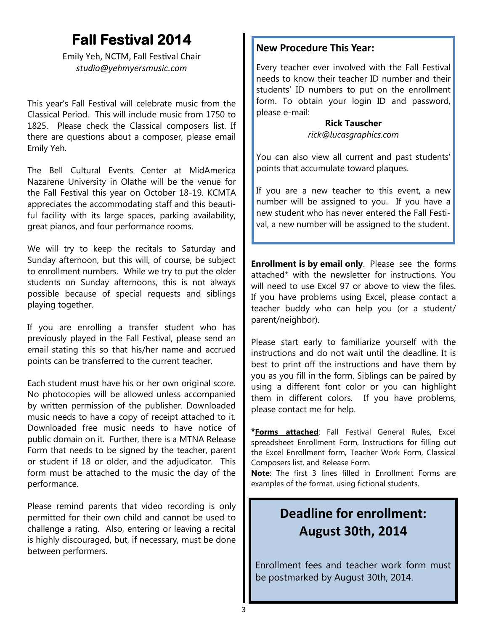# **Fall Festival 2014**

Emily Yeh, NCTM, Fall Festival Chair *studio@yehmyersmusic.com*

This year's Fall Festival will celebrate music from the Classical Period. This will include music from 1750 to 1825. Please check the Classical composers list. If there are questions about a composer, please email Emily Yeh.

The Bell Cultural Events Center at MidAmerica Nazarene University in Olathe will be the venue for the Fall Festival this year on October 18-19. KCMTA appreciates the accommodating staff and this beautiful facility with its large spaces, parking availability, great pianos, and four performance rooms.

We will try to keep the recitals to Saturday and Sunday afternoon, but this will, of course, be subject to enrollment numbers. While we try to put the older students on Sunday afternoons, this is not always possible because of special requests and siblings playing together.

If you are enrolling a transfer student who has previously played in the Fall Festival, please send an email stating this so that his/her name and accrued points can be transferred to the current teacher.

Each student must have his or her own original score. No photocopies will be allowed unless accompanied by written permission of the publisher. Downloaded music needs to have a copy of receipt attached to it. Downloaded free music needs to have notice of public domain on it. Further, there is a MTNA Release Form that needs to be signed by the teacher, parent or student if 18 or older, and the adjudicator. This form must be attached to the music the day of the performance.

Please remind parents that video recording is only permitted for their own child and cannot be used to challenge a rating. Also, entering or leaving a recital is highly discouraged, but, if necessary, must be done between performers.

#### **New Procedure This Year:**

Every teacher ever involved with the Fall Festival needs to know their teacher ID number and their students' ID numbers to put on the enrollment form. To obtain your login ID and password, please e-mail:

> **Rick Tauscher**  *rick@lucasgraphics.com*

You can also view all current and past students' points that accumulate toward plaques.

If you are a new teacher to this event, a new number will be assigned to you. If you have a new student who has never entered the Fall Festival, a new number will be assigned to the student.

**Enrollment is by email only**. Please see the forms attached\* with the newsletter for instructions. You will need to use Excel 97 or above to view the files. If you have problems using Excel, please contact a teacher buddy who can help you (or a student/ parent/neighbor).

Please start early to familiarize yourself with the instructions and do not wait until the deadline. It is best to print off the instructions and have them by you as you fill in the form. Siblings can be paired by using a different font color or you can highlight them in different colors. If you have problems, please contact me for help.

**\*Forms attached**: Fall Festival General Rules, Excel spreadsheet Enrollment Form, Instructions for filling out the Excel Enrollment form, Teacher Work Form, Classical Composers list, and Release Form.

**Note**: The first 3 lines filled in Enrollment Forms are examples of the format, using fictional students.

## **Deadline for enrollment: August 30th, 2014**

Enrollment fees and teacher work form must be postmarked by August 30th, 2014.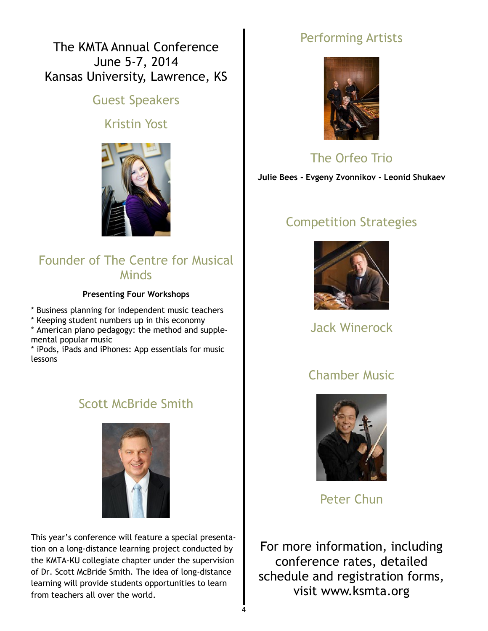The KMTA Annual Conference June 5-7, 2014 Kansas University, Lawrence, KS

#### Guest Speakers

#### Kristin Yost



#### Founder of The Centre for Musical **Minds**

#### **Presenting Four Workshops**

\* Business planning for independent music teachers

\* Keeping student numbers up in this economy

\* American piano pedagogy: the method and supplemental popular music

\* iPods, iPads and iPhones: App essentials for music lessons

#### Scott McBride Smith



This year's conference will feature a special presentation on a long-distance learning project conducted by the KMTA-KU collegiate chapter under the supervision of Dr. Scott McBride Smith. The idea of long-distance learning will provide students opportunities to learn from teachers all over the world.

## Performing Artists



## The Orfeo Trio

**Julie Bees - Evgeny Zvonnikov - Leonid Shukaev**

## Competition Strategies



Jack Winerock

#### Chamber Music



Peter Chun

For more information, including conference rates, detailed schedule and registration forms, visit www.ksmta.org